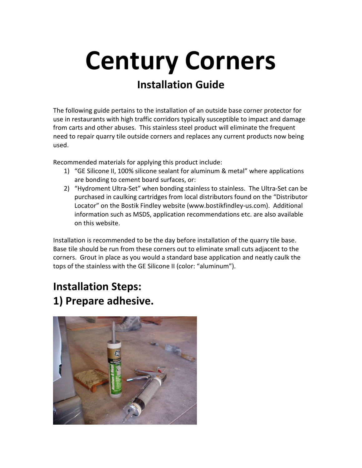## Century Corners Installation Guide

The following guide pertains to the installation of an outside base corner protector for use in restaurants with high traffic corridors typically susceptible to impact and damage from carts and other abuses. This stainless steel product will eliminate the frequent need to repair quarry tile outside corners and replaces any current products now being used.

Recommended materials for applying this product include:

- 1) "GE Silicone II, 100% silicone sealant for aluminum & metal" where applications are bonding to cement board surfaces, or:
- 2) "Hydroment Ultra-Set" when bonding stainless to stainless. The Ultra-Set can be purchased in caulking cartridges from local distributors found on the "Distributor Locator" on the Bostik Findley website (www.bostikfindley-us.com). Additional information such as MSDS, application recommendations etc. are also available on this website.

Installation is recommended to be the day before installation of the quarry tile base. Base tile should be run from these corners out to eliminate small cuts adjacent to the corners. Grout in place as you would a standard base application and neatly caulk the tops of the stainless with the GE Silicone II (color: "aluminum").

## Installation Steps: 1) Prepare adhesive.

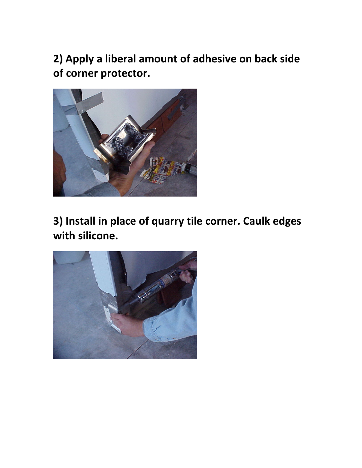2) Apply a liberal amount of adhesive on back side of corner protector.



3) Install in place of quarry tile corner. Caulk edges with silicone.

![](_page_1_Picture_3.jpeg)